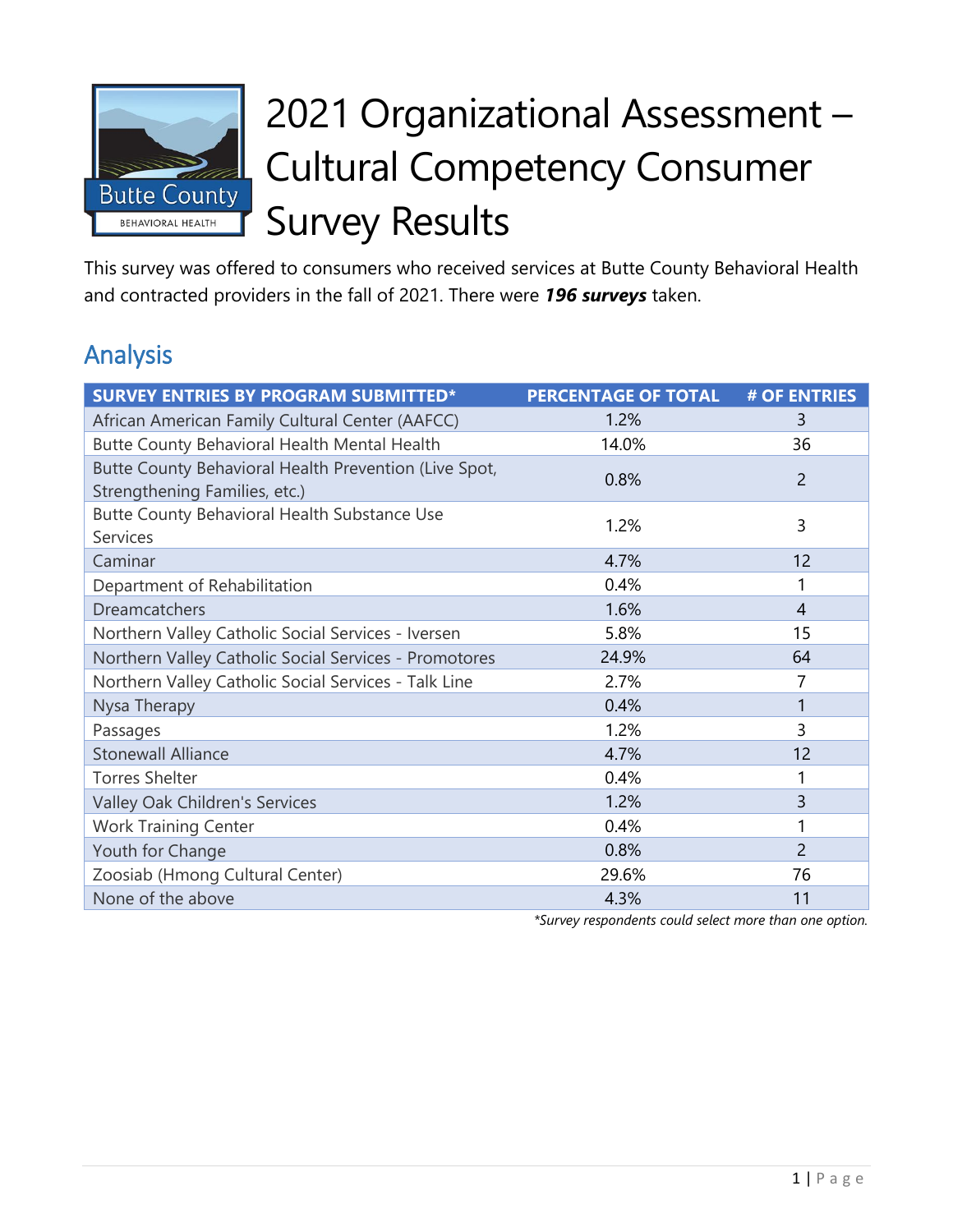

# 2021 Organizational Assessment – Cultural Competency Consumer Survey Results

This survey was offered to consumers who received services at Butte County Behavioral Health and contracted providers in the fall of 2021. There were *196 surveys* taken.

# Analysis

| <b>SURVEY ENTRIES BY PROGRAM SUBMITTED*</b>                                            | <b>PERCENTAGE OF TOTAL</b> | # OF ENTRIES   |
|----------------------------------------------------------------------------------------|----------------------------|----------------|
| African American Family Cultural Center (AAFCC)                                        | 1.2%                       | 3              |
| Butte County Behavioral Health Mental Health                                           | 14.0%                      | 36             |
| Butte County Behavioral Health Prevention (Live Spot,<br>Strengthening Families, etc.) | 0.8%                       | $\overline{2}$ |
| Butte County Behavioral Health Substance Use<br><b>Services</b>                        | 1.2%                       | 3              |
| Caminar                                                                                | 4.7%                       | 12             |
| Department of Rehabilitation                                                           | 0.4%                       | 1              |
| <b>Dreamcatchers</b>                                                                   | 1.6%                       | $\overline{4}$ |
| Northern Valley Catholic Social Services - Iversen                                     | 5.8%                       | 15             |
| Northern Valley Catholic Social Services - Promotores                                  | 24.9%                      | 64             |
| Northern Valley Catholic Social Services - Talk Line                                   | 2.7%                       | 7              |
| Nysa Therapy                                                                           | 0.4%                       |                |
| Passages                                                                               | 1.2%                       | 3              |
| <b>Stonewall Alliance</b>                                                              | 4.7%                       | 12             |
| <b>Torres Shelter</b>                                                                  | 0.4%                       | 1              |
| Valley Oak Children's Services                                                         | 1.2%                       | 3              |
| <b>Work Training Center</b>                                                            | 0.4%                       |                |
| Youth for Change                                                                       | 0.8%                       | $\overline{2}$ |
| Zoosiab (Hmong Cultural Center)                                                        | 29.6%                      | 76             |
| None of the above                                                                      | 4.3%                       | 11             |

*\*Survey respondents could select more than one option.*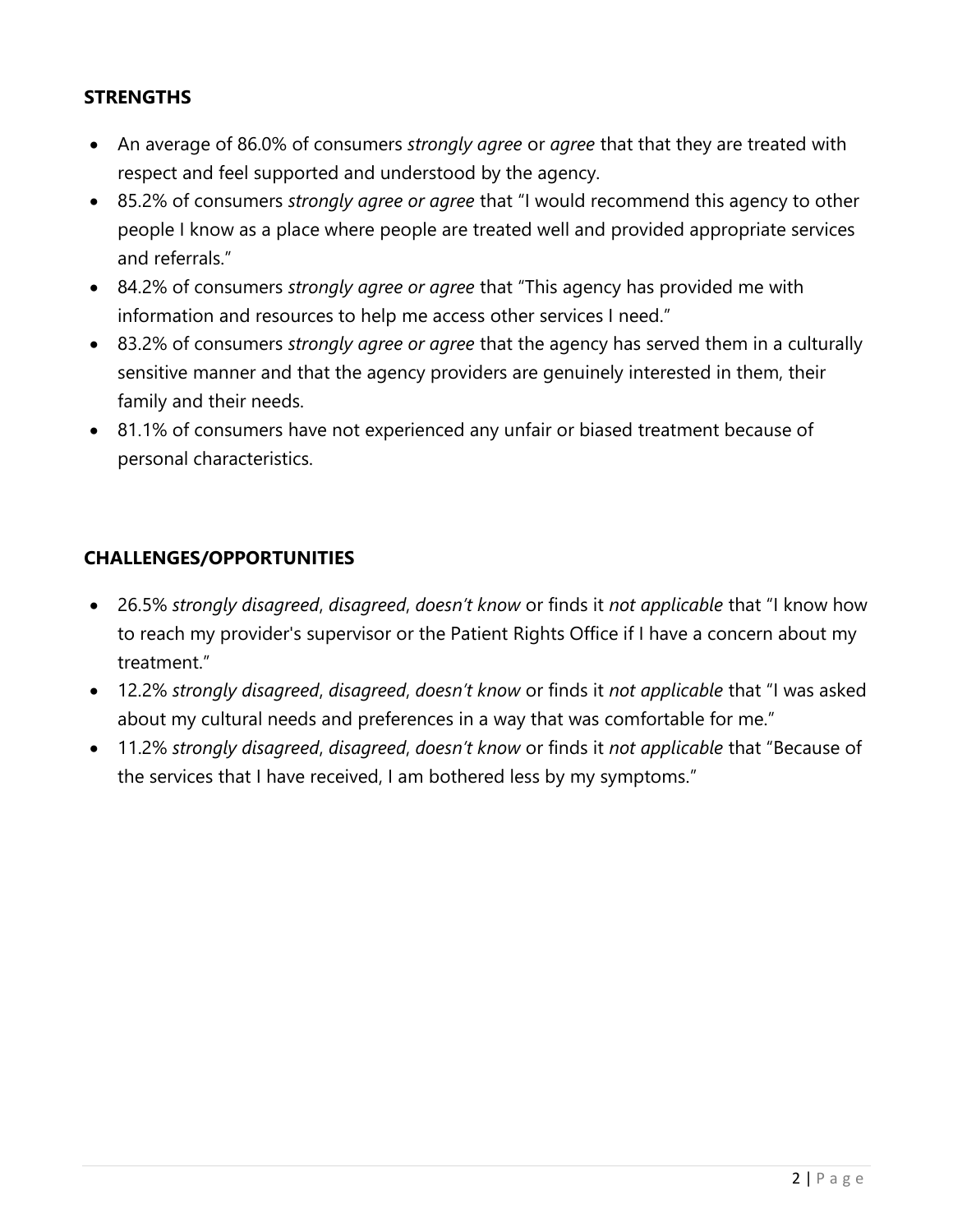#### **STRENGTHS**

- An average of 86.0% of consumers *strongly agree* or *agree* that that they are treated with respect and feel supported and understood by the agency.
- 85.2% of consumers *strongly agree or agree* that "I would recommend this agency to other people I know as a place where people are treated well and provided appropriate services and referrals."
- 84.2% of consumers *strongly agree or agree* that "This agency has provided me with information and resources to help me access other services I need."
- 83.2% of consumers *strongly agree or agree* that the agency has served them in a culturally sensitive manner and that the agency providers are genuinely interested in them, their family and their needs.
- 81.1% of consumers have not experienced any unfair or biased treatment because of personal characteristics.

#### **CHALLENGES/OPPORTUNITIES**

- 26.5% *strongly disagreed*, *disagreed*, *doesn't know* or finds it *not applicable* that "I know how to reach my provider's supervisor or the Patient Rights Office if I have a concern about my treatment."
- 12.2% *strongly disagreed*, *disagreed*, *doesn't know* or finds it *not applicable* that "I was asked about my cultural needs and preferences in a way that was comfortable for me."
- 11.2% *strongly disagreed*, *disagreed*, *doesn't know* or finds it *not applicable* that "Because of the services that I have received, I am bothered less by my symptoms."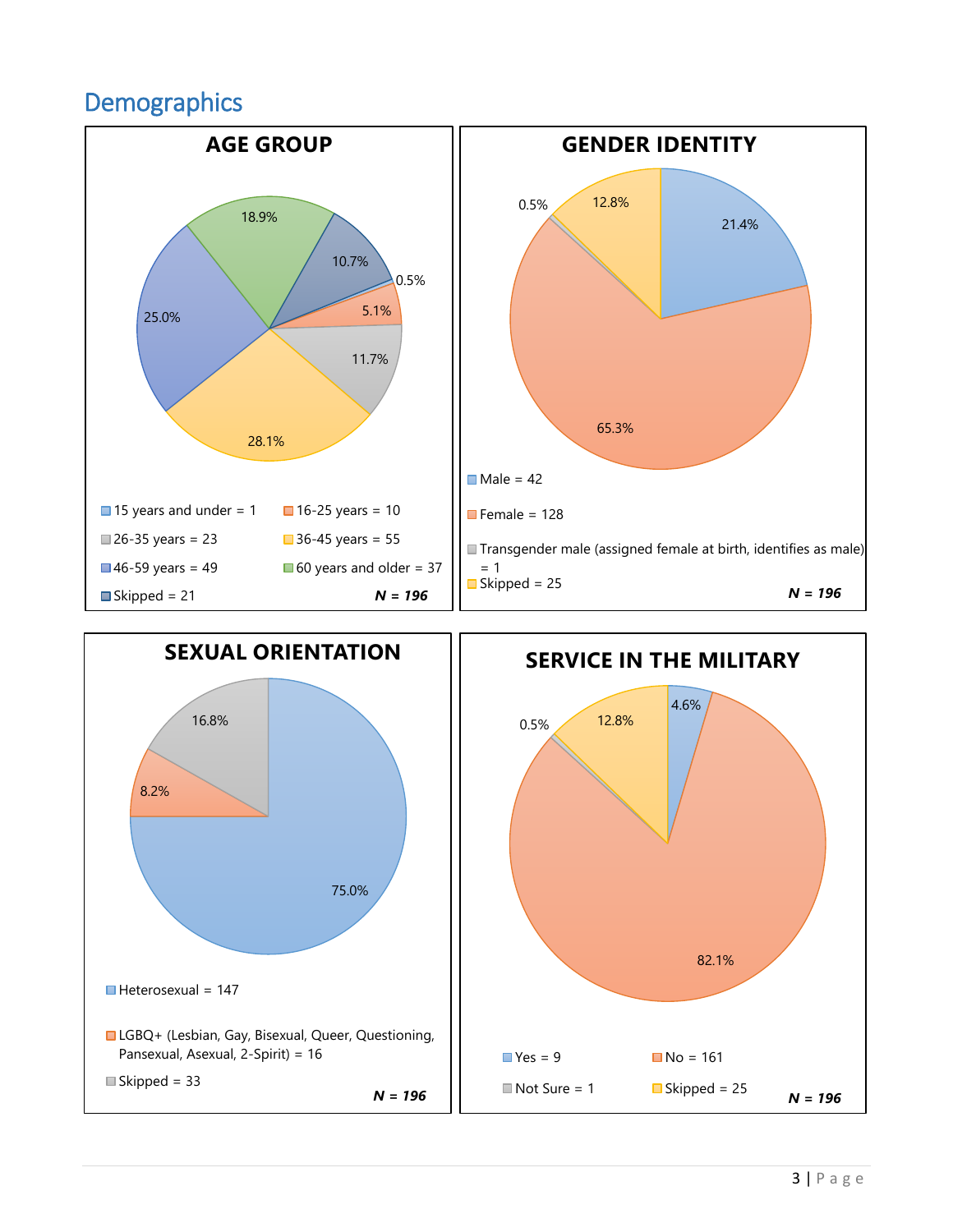# **Demographics**



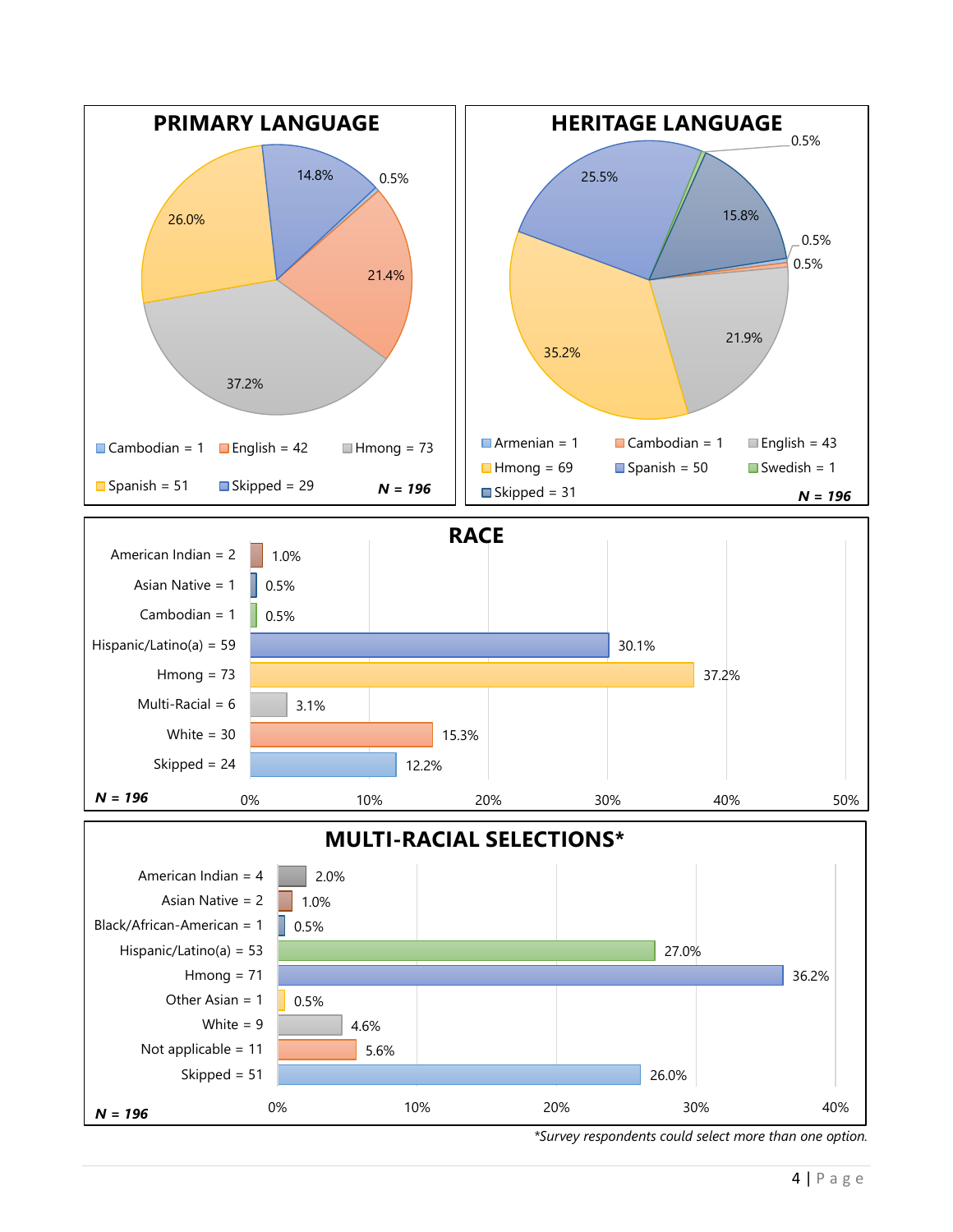

*<sup>\*</sup>Survey respondents could select more than one option.*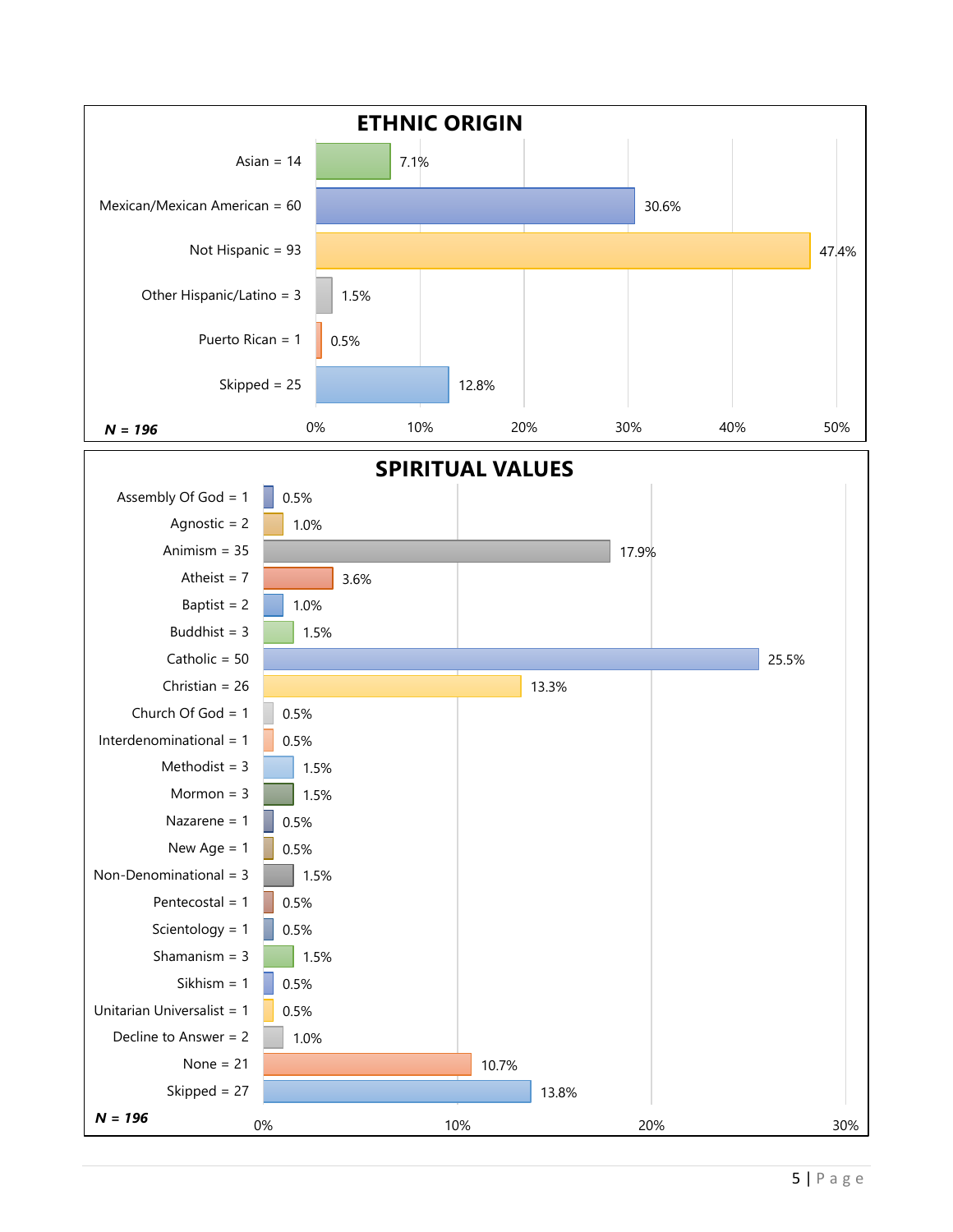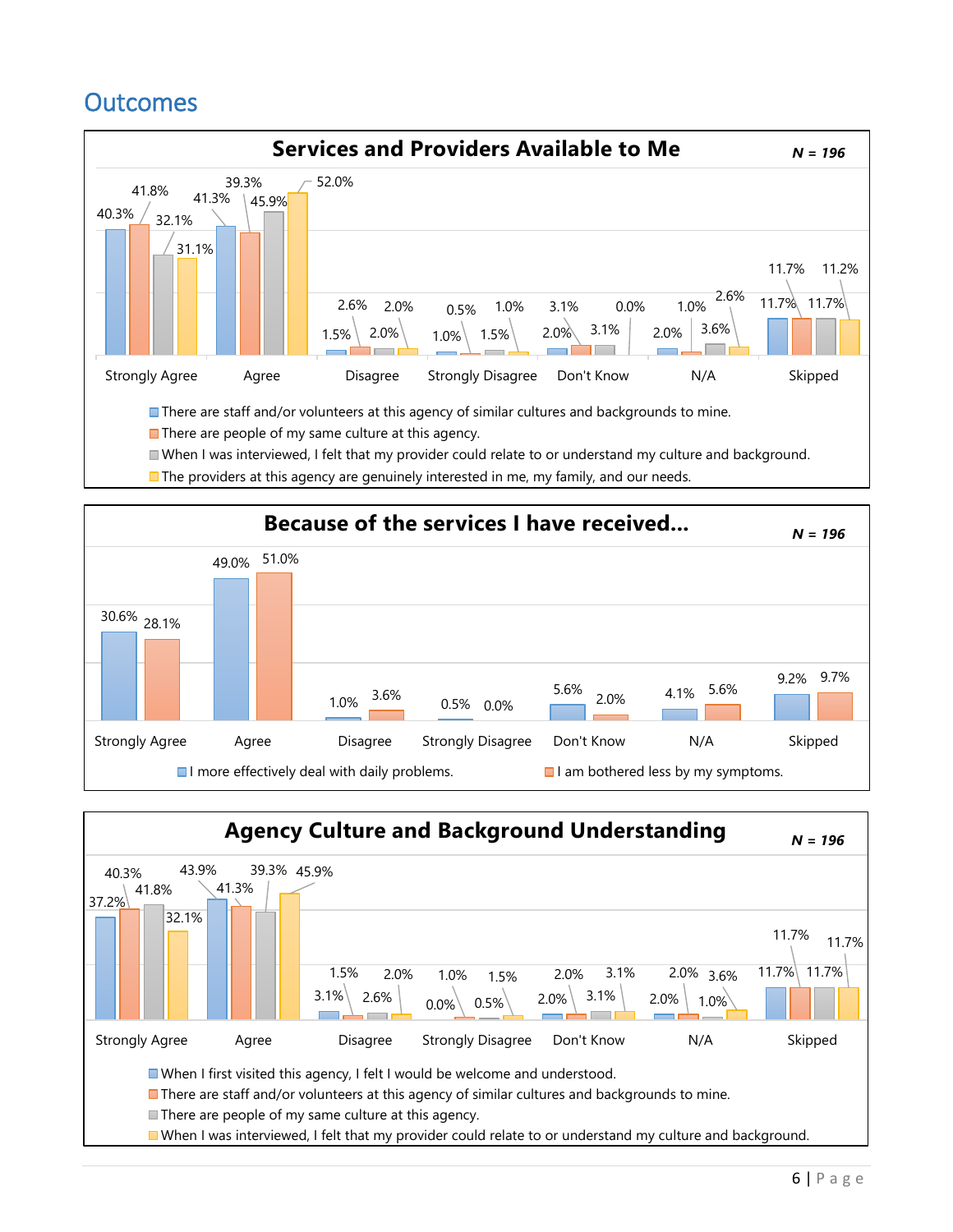# **Outcomes**





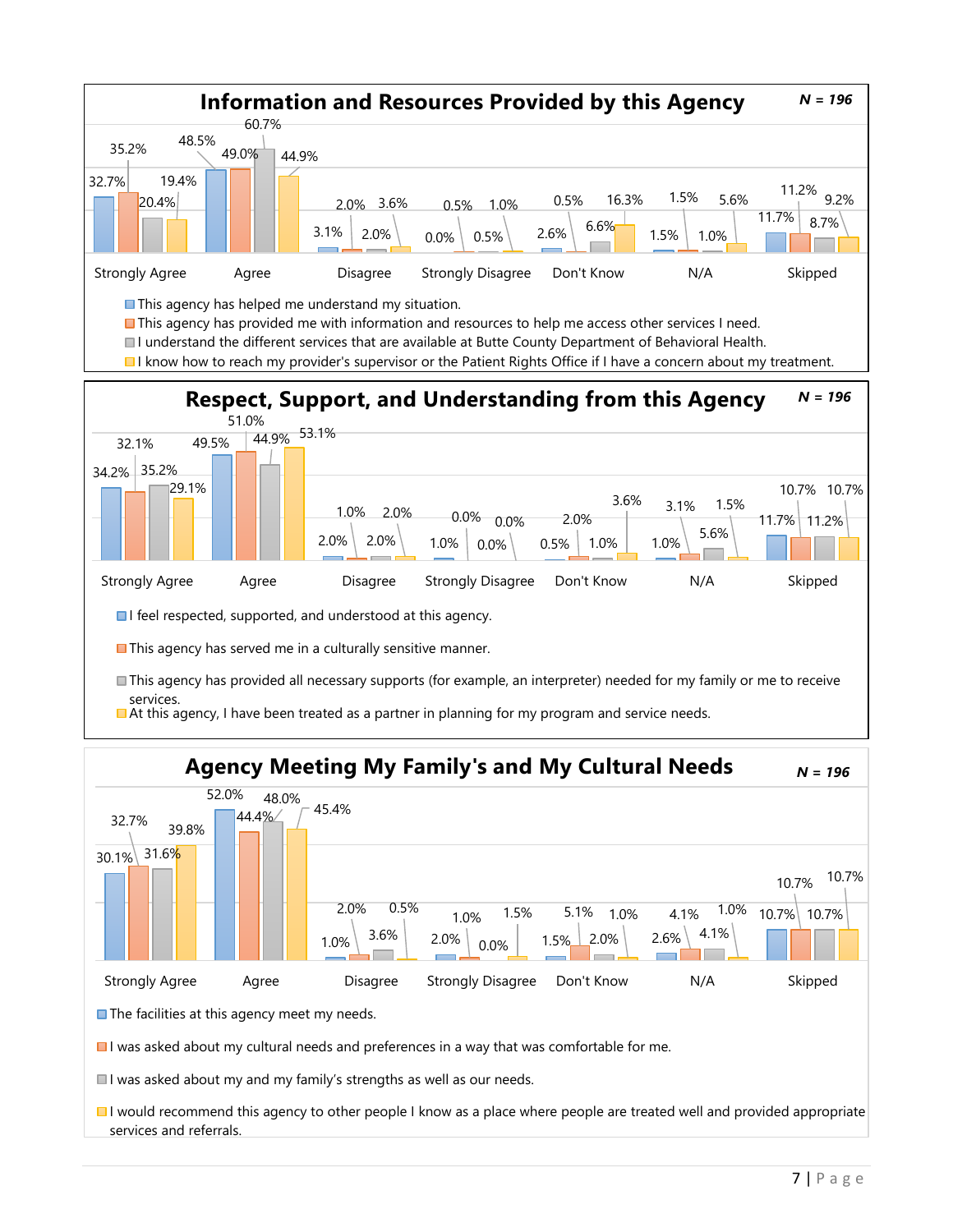



 $\Box$  I was asked about my cultural needs and preferences in a way that was comfortable for me.

 $\blacksquare$  I was asked about my and my family's strengths as well as our needs.

I would recommend this agency to other people I know as a place where people are treated well and provided appropriate services and referrals.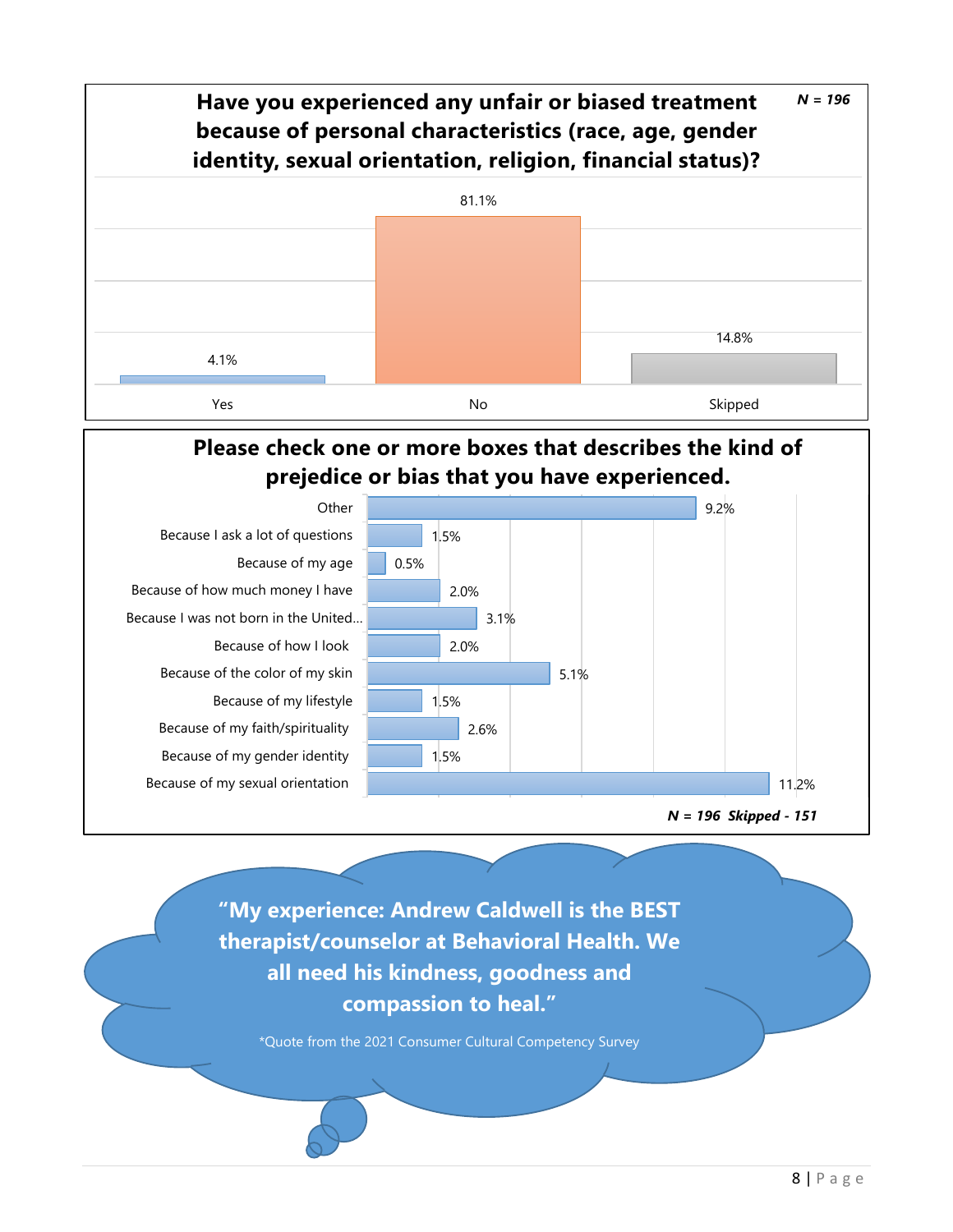

**Please check one or more boxes that describes the kind of prejedice or bias that you have experienced.**



**"My experience: Andrew Caldwell is the BEST therapist/counselor at Behavioral Health. We all need his kindness, goodness and compassion to heal."**

\*Quote from the 2021 Consumer Cultural Competency Survey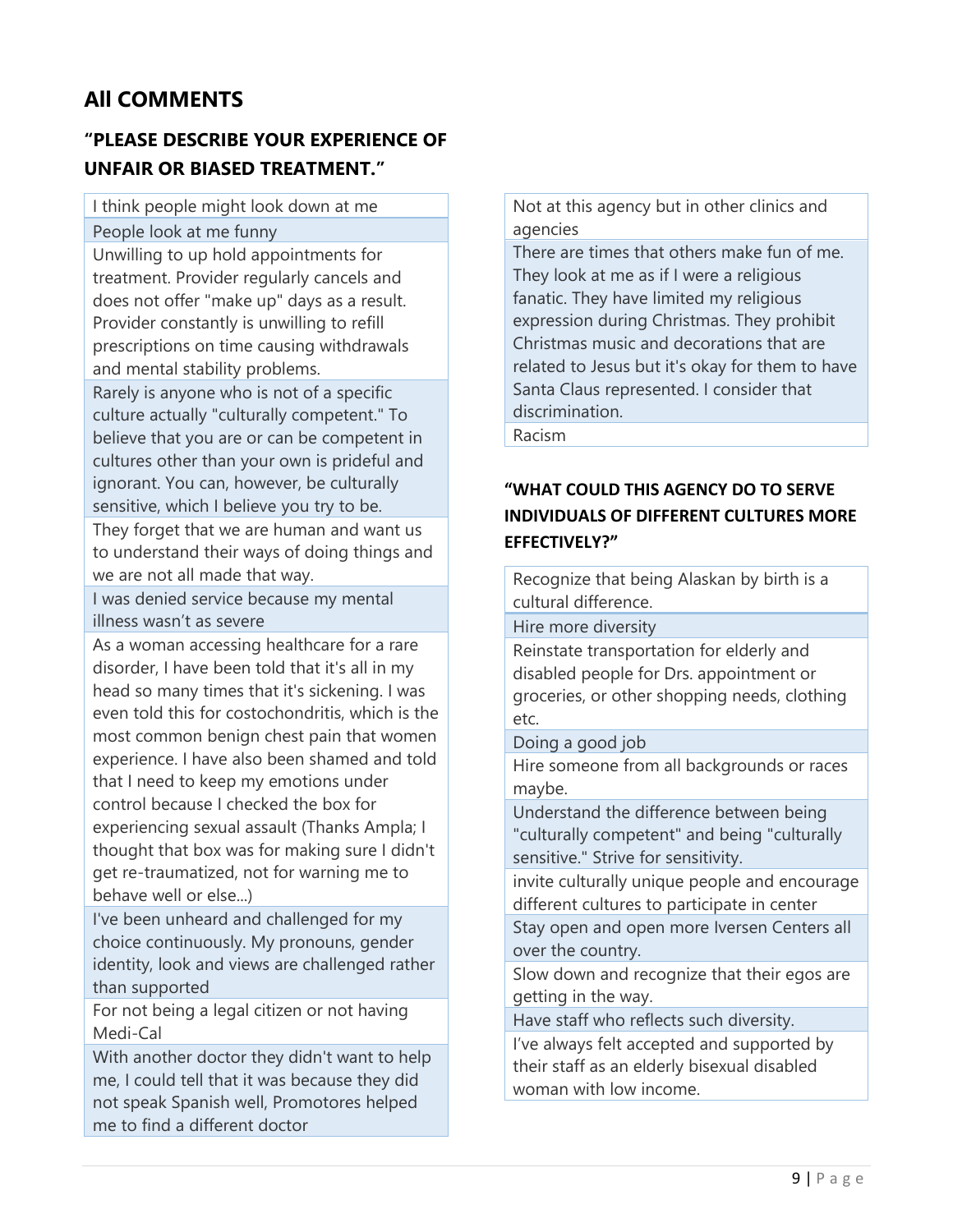## **All COMMENTS**

## **"PLEASE DESCRIBE YOUR EXPERIENCE OF UNFAIR OR BIASED TREATMENT."**

I think people might look down at me

People look at me funny

Unwilling to up hold appointments for treatment. Provider regularly cancels and does not offer "make up" days as a result. Provider constantly is unwilling to refill prescriptions on time causing withdrawals and mental stability problems.

Rarely is anyone who is not of a specific culture actually "culturally competent." To believe that you are or can be competent in cultures other than your own is prideful and ignorant. You can, however, be culturally sensitive, which I believe you try to be.

They forget that we are human and want us to understand their ways of doing things and we are not all made that way.

I was denied service because my mental illness wasn't as severe

As a woman accessing healthcare for a rare disorder, I have been told that it's all in my head so many times that it's sickening. I was even told this for costochondritis, which is the most common benign chest pain that women experience. I have also been shamed and told that I need to keep my emotions under control because I checked the box for experiencing sexual assault (Thanks Ampla; I thought that box was for making sure I didn't get re-traumatized, not for warning me to behave well or else...)

I've been unheard and challenged for my choice continuously. My pronouns, gender identity, look and views are challenged rather than supported

For not being a legal citizen or not having Medi-Cal

With another doctor they didn't want to help me, I could tell that it was because they did not speak Spanish well, Promotores helped me to find a different doctor

Not at this agency but in other clinics and agencies

There are times that others make fun of me. They look at me as if I were a religious fanatic. They have limited my religious expression during Christmas. They prohibit Christmas music and decorations that are related to Jesus but it's okay for them to have Santa Claus represented. I consider that discrimination.

Racism

### **"WHAT COULD THIS AGENCY DO TO SERVE INDIVIDUALS OF DIFFERENT CULTURES MORE EFFECTIVELY?"**

Recognize that being Alaskan by birth is a cultural difference.

Hire more diversity

Reinstate transportation for elderly and disabled people for Drs. appointment or groceries, or other shopping needs, clothing etc.

Doing a good job

Hire someone from all backgrounds or races maybe.

Understand the difference between being "culturally competent" and being "culturally sensitive." Strive for sensitivity.

invite culturally unique people and encourage different cultures to participate in center

Stay open and open more Iversen Centers all over the country.

Slow down and recognize that their egos are getting in the way.

Have staff who reflects such diversity.

I've always felt accepted and supported by their staff as an elderly bisexual disabled woman with low income.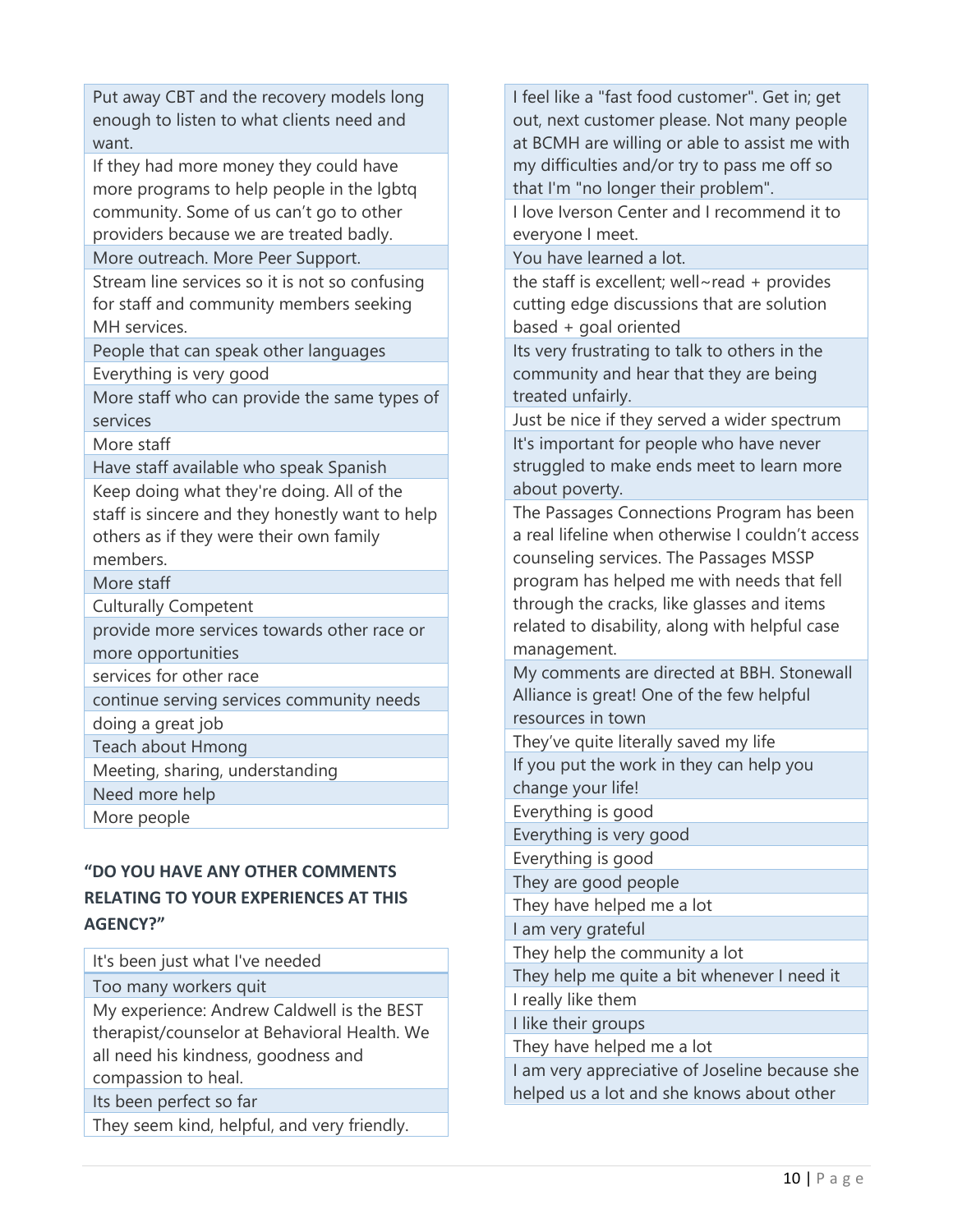Put away CBT and the recovery models long enough to listen to what clients need and want.

If they had more money they could have more programs to help people in the lgbtq community. Some of us can't go to other providers because we are treated badly.

More outreach. More Peer Support.

Stream line services so it is not so confusing for staff and community members seeking MH services.

People that can speak other languages Everything is very good

More staff who can provide the same types of services

More staff

Have staff available who speak Spanish

Keep doing what they're doing. All of the staff is sincere and they honestly want to help others as if they were their own family members.

More staff

Culturally Competent

provide more services towards other race or more opportunities

services for other race

continue serving services community needs

doing a great job

Teach about Hmong

Meeting, sharing, understanding

Need more help

More people

### **"DO YOU HAVE ANY OTHER COMMENTS RELATING TO YOUR EXPERIENCES AT THIS AGENCY?"**

It's been just what I've needed

Too many workers quit

My experience: Andrew Caldwell is the BEST therapist/counselor at Behavioral Health. We all need his kindness, goodness and compassion to heal.

Its been perfect so far

They seem kind, helpful, and very friendly.

I feel like a "fast food customer". Get in; get out, next customer please. Not many people at BCMH are willing or able to assist me with my difficulties and/or try to pass me off so that I'm "no longer their problem".

I love Iverson Center and I recommend it to everyone I meet.

You have learned a lot.

the staff is excellent; well~read + provides cutting edge discussions that are solution based + goal oriented

Its very frustrating to talk to others in the community and hear that they are being treated unfairly.

Just be nice if they served a wider spectrum It's important for people who have never struggled to make ends meet to learn more about poverty.

The Passages Connections Program has been a real lifeline when otherwise I couldn't access counseling services. The Passages MSSP program has helped me with needs that fell through the cracks, like glasses and items related to disability, along with helpful case management.

My comments are directed at BBH. Stonewall Alliance is great! One of the few helpful resources in town

They've quite literally saved my life If you put the work in they can help you change your life!

Everything is good

Everything is very good

Everything is good

They are good people

They have helped me a lot

I am very grateful

They help the community a lot

They help me quite a bit whenever I need it

I really like them

I like their groups

They have helped me a lot

I am very appreciative of Joseline because she helped us a lot and she knows about other